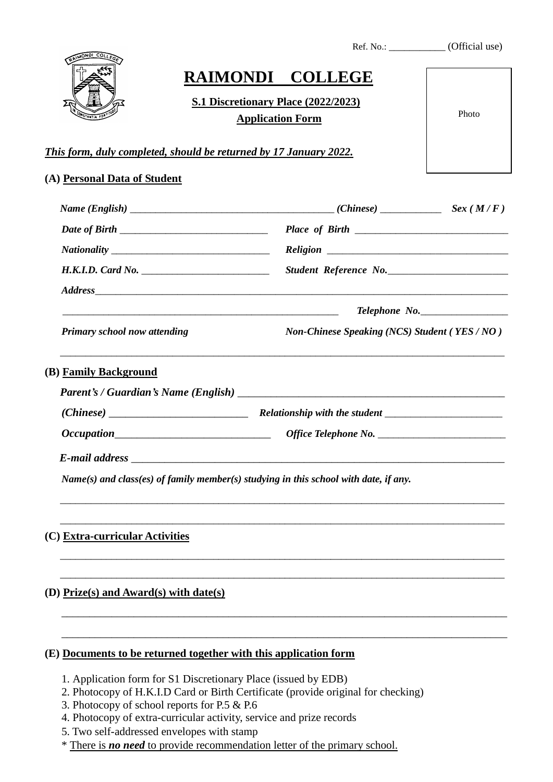|                                        |                                                                                                                | <b>RAIMONDI COLLEGE</b>                                                                                                                                                                                                            |               |
|----------------------------------------|----------------------------------------------------------------------------------------------------------------|------------------------------------------------------------------------------------------------------------------------------------------------------------------------------------------------------------------------------------|---------------|
|                                        | <b>S.1 Discretionary Place (2022/2023)</b>                                                                     |                                                                                                                                                                                                                                    |               |
|                                        | <b>Application Form</b>                                                                                        |                                                                                                                                                                                                                                    | Photo         |
|                                        | This form, duly completed, should be returned by 17 January 2022.                                              |                                                                                                                                                                                                                                    |               |
|                                        |                                                                                                                |                                                                                                                                                                                                                                    |               |
| (A) Personal Data of Student           |                                                                                                                |                                                                                                                                                                                                                                    |               |
|                                        |                                                                                                                | $Name (English)$ $Sex (M/F)$                                                                                                                                                                                                       |               |
|                                        |                                                                                                                |                                                                                                                                                                                                                                    |               |
|                                        |                                                                                                                |                                                                                                                                                                                                                                    |               |
|                                        | H.K.I.D. Card No.                                                                                              | Student Reference No.                                                                                                                                                                                                              |               |
|                                        |                                                                                                                |                                                                                                                                                                                                                                    |               |
|                                        |                                                                                                                |                                                                                                                                                                                                                                    | Telephone No. |
| <b>Primary school now attending</b>    |                                                                                                                | <b>Non-Chinese Speaking (NCS) Student (YES / NO)</b>                                                                                                                                                                               |               |
| (B) Family Background                  |                                                                                                                |                                                                                                                                                                                                                                    |               |
|                                        |                                                                                                                |                                                                                                                                                                                                                                    |               |
|                                        |                                                                                                                |                                                                                                                                                                                                                                    |               |
|                                        |                                                                                                                |                                                                                                                                                                                                                                    |               |
|                                        |                                                                                                                | <b>E-mail address</b> to the set of the set of the set of the set of the set of the set of the set of the set of the set of the set of the set of the set of the set of the set of the set of the set of the set of the set of the |               |
|                                        |                                                                                                                | $Name(s)$ and class(es) of family member(s) studying in this school with date, if any.                                                                                                                                             |               |
|                                        |                                                                                                                |                                                                                                                                                                                                                                    |               |
| (C) Extra-curricular Activities        |                                                                                                                |                                                                                                                                                                                                                                    |               |
| (D) Prize(s) and Award(s) with date(s) |                                                                                                                |                                                                                                                                                                                                                                    |               |
|                                        |                                                                                                                |                                                                                                                                                                                                                                    |               |
|                                        | (E) Documents to be returned together with this application form                                               |                                                                                                                                                                                                                                    |               |
|                                        |                                                                                                                |                                                                                                                                                                                                                                    |               |
|                                        | 1. Application form for S1 Discretionary Place (issued by EDB)<br>3. Photocopy of school reports for P.5 & P.6 | 2. Photocopy of H.K.I.D Card or Birth Certificate (provide original for checking)                                                                                                                                                  |               |

Ref. No.: \_\_\_\_\_\_\_\_\_\_\_\_\_ (Official use)

- 4. Photocopy of extra-curricular activity, service and prize records
- 5. Two self-addressed envelopes with stamp
- \* There is *no need* to provide recommendation letter of the primary school.